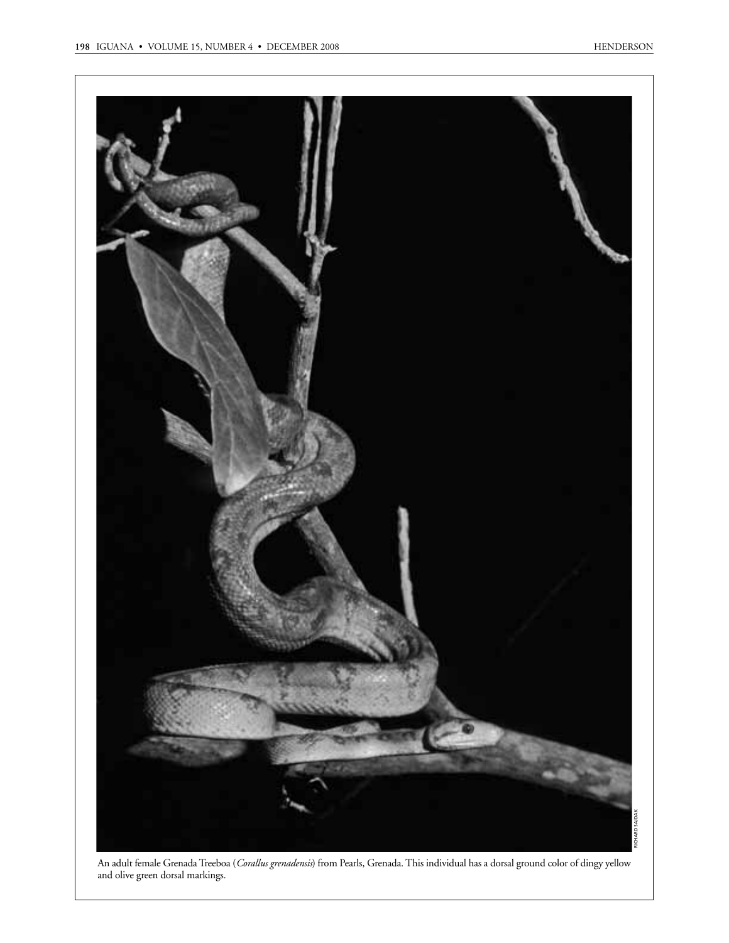

An adult female Grenada Treeboa (*Corallus grenadensis*) from Pearls, Grenada. This individual has a dorsal ground color of dingy yellow and olive green dorsal markings.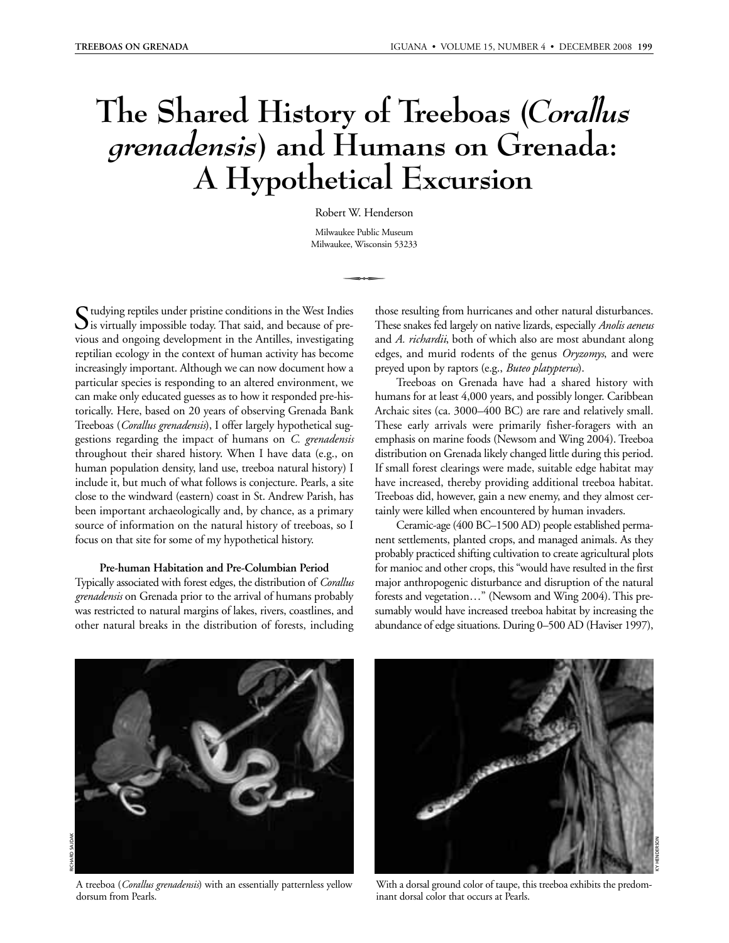# **The Shared History of Treeboas (***Corallus grenadensis***) and Humans on Grenada: A Hypothetical Excursion**

Robert W. Henderson Milwaukee Public Museum Milwaukee, Wisconsin 53233

-

 $\Gamma$ tudying reptiles under pristine conditions in the West Indies  $\bigcup$  is virtually impossible today. That said, and because of previous and ongoing development in the Antilles, investigating reptilian ecology in the context of human activity has become increasingly important. Although we can now document how a particular species is responding to an altered environment, we can make only educated guesses as to how it responded pre-historically. Here, based on 20 years of observing Grenada Bank Treeboas (*Corallus grenadensis*), I offer largely hypothetical suggestions regarding the impact of humans on *C. grenadensis* throughout their shared history. When I have data (e.g., on human population density, land use, treeboa natural history) I include it, but much of what follows is conjecture. Pearls, a site close to the windward (eastern) coast in St. Andrew Parish, has been important archaeologically and, by chance, as a primary source of information on the natural history of treeboas, so I focus on that site for some of my hypothetical history.

#### **Pre-human Habitation and Pre-Columbian Period**

Typically associated with forest edges, the distribution of *Corallus grenadensis* on Grenada prior to the arrival of humans probably was restricted to natural margins of lakes, rivers, coastlines, and other natural breaks in the distribution of forests, including

those resulting from hurricanes and other natural disturbances. These snakes fed largely on native lizards, especially *Anolis aeneus* and *A. richardii*, both of which also are most abundant along edges, and murid rodents of the genus *Oryzomys*, and were preyed upon by raptors (e.g., *Buteo platypterus*).

Treeboas on Grenada have had a shared history with humans for at least 4,000 years, and possibly longer. Caribbean Archaic sites (ca. 3000–400 BC) are rare and relatively small. These early arrivals were primarily fisher-foragers with an emphasis on marine foods (Newsom and Wing 2004). Treeboa distribution on Grenada likely changed little during this period. If small forest clearings were made, suitable edge habitat may have increased, thereby providing additional treeboa habitat. Treeboas did, however, gain a new enemy, and they almost certainly were killed when encountered by human invaders.

Ceramic-age (400 BC–1500 AD) people established permanent settlements, planted crops, and managed animals. As they probably practiced shifting cultivation to create agricultural plots for manioc and other crops, this "would have resulted in the first major anthropogenic disturbance and disruption of the natural forests and vegetation…" (Newsom and Wing 2004). This presumably would have increased treeboa habitat by increasing the abundance of edge situations. During 0–500 AD (Haviser 1997),



A treeboa (*Corallus grenadensis*) with an essentially patternless yellow dorsum from Pearls.



With a dorsal ground color of taupe, this treeboa exhibits the predominant dorsal color that occurs at Pearls.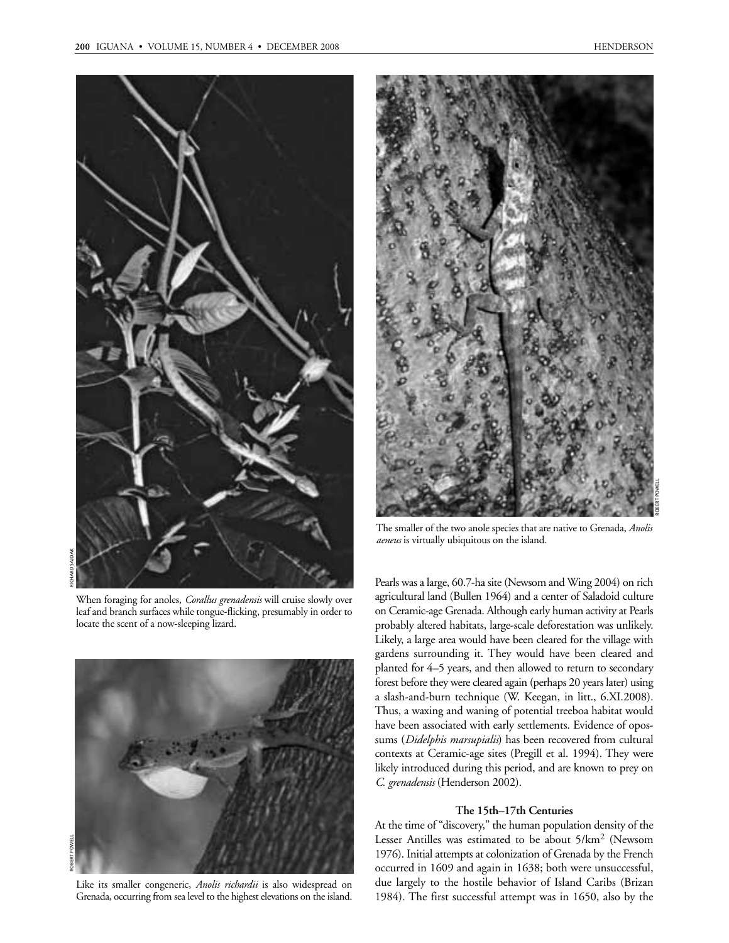

RICHARD SAJDAK

When foraging for anoles, *Corallus grenadensis* will cruise slowly over leaf and branch surfaces while tongue-flicking, presumably in order to locate the scent of a now-sleeping lizard.



Like its smaller congeneric, *Anolis richardii* is also widespread on Grenada, occurring from sea level to the highest elevations on the island.



The smaller of the two anole species that are native to Grenada, *Anolis aeneus* is virtually ubiquitous on the island.

Pearls was a large, 60.7-ha site (Newsom and Wing 2004) on rich agricultural land (Bullen 1964) and a center of Saladoid culture on Ceramic-age Grenada. Although early human activity at Pearls probably altered habitats, large-scale deforestation was unlikely. Likely, a large area would have been cleared for the village with gardens surrounding it. They would have been cleared and planted for 4–5 years, and then allowed to return to secondary forest before they were cleared again (perhaps 20 years later) using a slash-and-burn technique (W. Keegan, in litt., 6.XI.2008). Thus, a waxing and waning of potential treeboa habitat would have been associated with early settlements. Evidence of opossums (*Didelphis marsupialis*) has been recovered from cultural contexts at Ceramic-age sites (Pregill et al. 1994). They were likely introduced during this period, and are known to prey on *C. grenadensis* (Henderson 2002).

#### **The 15th–17th Centuries**

At the time of "discovery," the human population density of the Lesser Antilles was estimated to be about 5/km<sup>2</sup> (Newsom 1976). Initial attempts at colonization of Grenada by the French occurred in 1609 and again in 1638; both were unsuccessful, due largely to the hostile behavior of Island Caribs (Brizan 1984). The first successful attempt was in 1650, also by the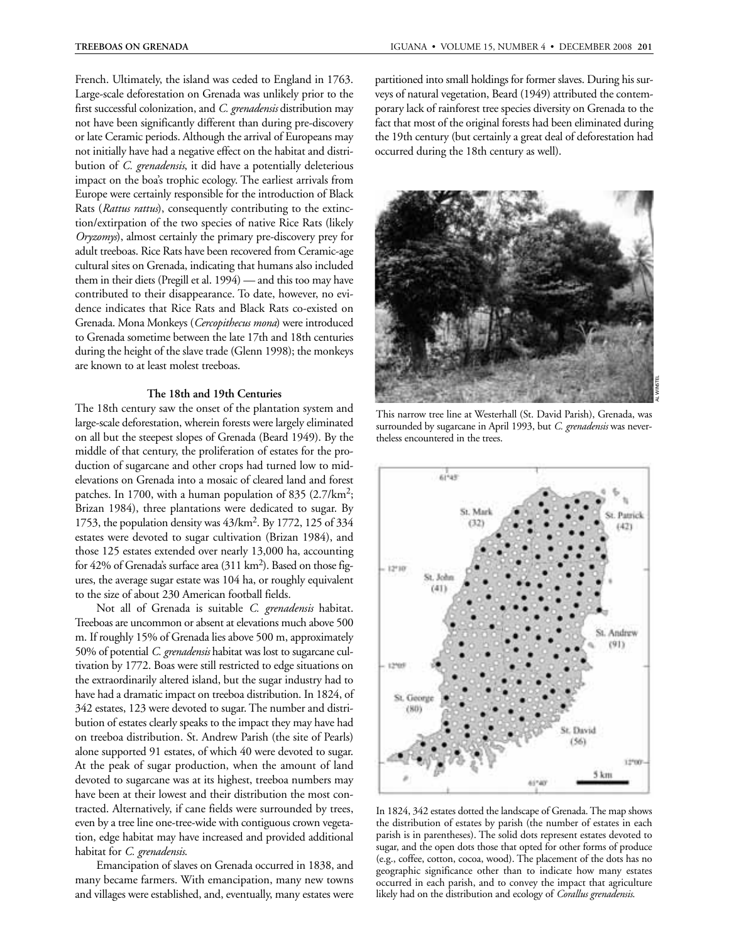French. Ultimately, the island was ceded to England in 1763. Large-scale deforestation on Grenada was unlikely prior to the first successful colonization, and *C. grenadensis* distribution may not have been significantly different than during pre-discovery or late Ceramic periods. Although the arrival of Europeans may not initially have had a negative effect on the habitat and distribution of *C. grenadensis*, it did have a potentially deleterious impact on the boa's trophic ecology. The earliest arrivals from Europe were certainly responsible for the introduction of Black Rats (*Rattus rattus*), consequently contributing to the extinction/extirpation of the two species of native Rice Rats (likely *Oryzomys*), almost certainly the primary pre-discovery prey for adult treeboas. Rice Rats have been recovered from Ceramic-age cultural sites on Grenada, indicating that humans also included them in their diets (Pregill et al. 1994) — and this too may have contributed to their disappearance. To date, however, no evidence indicates that Rice Rats and Black Rats co-existed on Grenada. Mona Monkeys (*Cercopithecus mona*) were introduced to Grenada sometime between the late 17th and 18th centuries during the height of the slave trade (Glenn 1998); the monkeys are known to at least molest treeboas.

## **The 18th and 19th Centuries**

The 18th century saw the onset of the plantation system and large-scale deforestation, wherein forests were largely eliminated on all but the steepest slopes of Grenada (Beard 1949). By the middle of that century, the proliferation of estates for the production of sugarcane and other crops had turned low to midelevations on Grenada into a mosaic of cleared land and forest patches. In 1700, with a human population of 835  $(2.7/\text{km}^2;$ Brizan 1984), three plantations were dedicated to sugar. By 1753, the population density was 43/km2. By 1772, 125 of 334 estates were devoted to sugar cultivation (Brizan 1984), and those 125 estates extended over nearly 13,000 ha, accounting for 42% of Grenada's surface area  $(311 \text{ km}^2)$ . Based on those figures, the average sugar estate was 104 ha, or roughly equivalent to the size of about 230 American football fields.

Not all of Grenada is suitable *C. grenadensis* habitat. Treeboas are uncommon or absent at elevations much above 500 m. If roughly 15% of Grenada lies above 500 m, approximately 50% of potential *C. grenadensis* habitat was lost to sugarcane cultivation by 1772. Boas were still restricted to edge situations on the extraordinarily altered island, but the sugar industry had to have had a dramatic impact on treeboa distribution. In 1824, of 342 estates, 123 were devoted to sugar. The number and distribution of estates clearly speaks to the impact they may have had on treeboa distribution. St. Andrew Parish (the site of Pearls) alone supported 91 estates, of which 40 were devoted to sugar. At the peak of sugar production, when the amount of land devoted to sugarcane was at its highest, treeboa numbers may have been at their lowest and their distribution the most contracted. Alternatively, if cane fields were surrounded by trees, even by a tree line one-tree-wide with contiguous crown vegetation, edge habitat may have increased and provided additional habitat for *C. grenadensis*.

Emancipation of slaves on Grenada occurred in 1838, and many became farmers. With emancipation, many new towns and villages were established, and, eventually, many estates were

partitioned into small holdings for former slaves. During his surveys of natural vegetation, Beard (1949) attributed the contemporary lack of rainforest tree species diversity on Grenada to the fact that most of the original forests had been eliminated during the 19th century (but certainly a great deal of deforestation had occurred during the 18th century as well).



This narrow tree line at Westerhall (St. David Parish), Grenada, was surrounded by sugarcane in April 1993, but *C. grenadensis* was nevertheless encountered in the trees.



In 1824, 342 estates dotted the landscape of Grenada. The map shows the distribution of estates by parish (the number of estates in each parish is in parentheses). The solid dots represent estates devoted to sugar, and the open dots those that opted for other forms of produce (e.g., coffee, cotton, cocoa, wood). The placement of the dots has no geographic significance other than to indicate how many estates occurred in each parish, and to convey the impact that agriculture likely had on the distribution and ecology of *Corallus grenadensis*.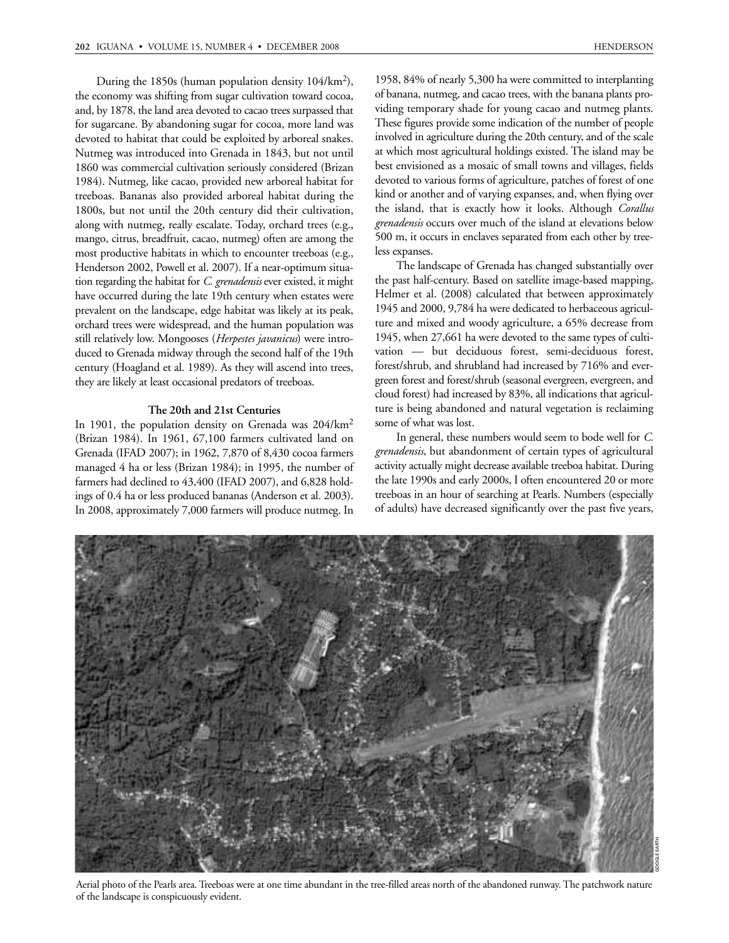During the 1850s (human population density 104/km2), the economy was shifting from sugar cultivation toward cocoa, and, by 1878, the land area devoted to cacao trees surpassed that for sugarcane. By abandoning sugar for cocoa, more land was devoted to habitat that could be exploited by arboreal snakes. Nutmeg was introduced into Grenada in 1843, but not until 1860 was commercial cultivation seriously considered (Brizan 1984). Nutmeg, like cacao, provided new arboreal habitat for treeboas. Bananas also provided arboreal habitat during the 1800s, but not until the 20th century did their cultivation, along with nutmeg, really escalate. Today, orchard trees (e.g., mango, citrus, breadfruit, cacao, nutmeg) often are among the most productive habitats in which to encounter treeboas (e.g., Henderson 2002, Powell et al. 2007). If a near-optimum situation regarding the habitat for *C. grenadensis*ever existed, it might have occurred during the late 19th century when estates were prevalent on the landscape, edge habitat was likely at its peak, orchard trees were widespread, and the human population was still relatively low. Mongooses (*Herpestes javanicus*) were introduced to Grenada midway through the second half of the 19th century (Hoagland et al. 1989). As they will ascend into trees, they are likely at least occasional predators of treeboas.

## **The 20th and 21st Centuries**

In 1901, the population density on Grenada was 204/km<sup>2</sup> (Brizan 1984). In 1961, 67,100 farmers cultivated land on Grenada (IFAD 2007); in 1962, 7,870 of 8,430 cocoa farmers managed 4 ha or less (Brizan 1984); in 1995, the number of farmers had declined to 43,400 (IFAD 2007), and 6,828 holdings of 0.4 ha or less produced bananas (Anderson et al. 2003). In 2008, approximately 7,000 farmers will produce nutmeg. In

1958, 84% of nearly 5,300 ha were committed to interplanting of banana, nutmeg, and cacao trees, with the banana plants providing temporary shade for young cacao and nutmeg plants. These figures provide some indication of the number of people involved in agriculture during the 20th century, and of the scale at which most agricultural holdings existed. The island may be best envisioned as a mosaic of small towns and villages, fields devoted to various forms of agriculture, patches of forest of one kind or another and of varying expanses, and, when flying over the island, that is exactly how it looks. Although *Corallus grenadensis* occurs over much of the island at elevations below 500 m, it occurs in enclaves separated from each other by treeless expanses.

The landscape of Grenada has changed substantially over the past half-century. Based on satellite image-based mapping, Helmer et al. (2008) calculated that between approximately 1945 and 2000, 9,784 ha were dedicated to herbaceous agriculture and mixed and woody agriculture, a 65% decrease from 1945, when 27,661 ha were devoted to the same types of cultivation — but deciduous forest, semi-deciduous forest, forest/shrub, and shrubland had increased by 716% and evergreen forest and forest/shrub (seasonal evergreen, evergreen, and cloud forest) had increased by 83%, all indications that agriculture is being abandoned and natural vegetation is reclaiming some of what was lost.

In general, these numbers would seem to bode well for *C. grenadensis*, but abandonment of certain types of agricultural activity actually might decrease available treeboa habitat. During the late 1990s and early 2000s, I often encountered 20 or more treeboas in an hour of searching at Pearls. Numbers (especially of adults) have decreased significantly over the past five years,



Aerial photo of the Pearls area. Treeboas were at one time abundant in the tree-filled areas north of the abandoned runway. The patchwork nature of the landscape is conspicuously evident.